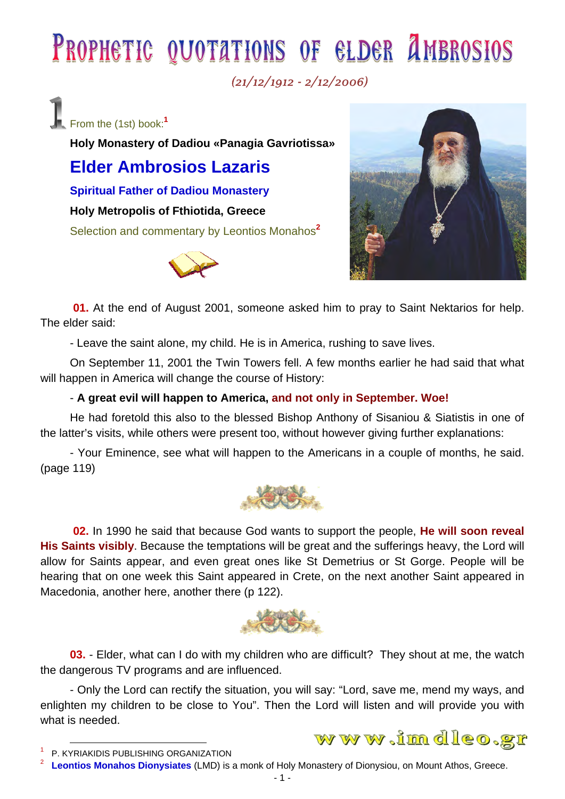# PROPHETIC QUOTATIONS OF ELDER AMBROSIOS

 $(21/12/1912 - 2/12/2006)$ 

From the (1st) book:**<sup>1</sup>**

**Holy Monastery of Dadiou «Panagia Gavriotissa»** 

## **Elder Ambrosios Lazaris**

**Spiritual Father of Dadiou Monastery** 

**Holy Metropolis of Fthiotida, Greece** 

Selection and commentary by Leontios Monahos**<sup>2</sup>**





**01.** At the end of August 2001, someone asked him to pray to Saint Nektarios for help. The elder said:

- Leave the saint alone, my child. He is in America, rushing to save lives.

On September 11, 2001 the Twin Towers fell. A few months earlier he had said that what will happen in America will change the course of History:

## - **A great evil will happen to America, and not only in September. Woe!**

He had foretold this also to the blessed Bishop Anthony of Sisaniou & Siatistis in one of the latter's visits, while others were present too, without however giving further explanations:

- Your Eminence, see what will happen to the Americans in a couple of months, he said. (page 119)



**02.** In 1990 he said that because God wants to support the people, **He will soon reveal His Saints visibly**. Because the temptations will be great and the sufferings heavy, the Lord will allow for Saints appear, and even great ones like St Demetrius or St Gorge. People will be hearing that on one week this Saint appeared in Crete, on the next another Saint appeared in Macedonia, another here, another there (p 122).



**03.** - Elder, what can I do with my children who are difficult? They shout at me, the watch the dangerous TV programs and are influenced.

- Only the Lord can rectify the situation, you will say: "Lord, save me, mend my ways, and enlighten my children to be close to You". Then the Lord will listen and will provide you with what is needed.

## www.imdleo.gr

 <sup>1</sup> P. KYRIAKIDIS PUBLISHING ORGANIZATION 2

**Leontios Monahos Dionysiates** (LMD) is a monk of Holy Monastery of Dionysiou, on Mount Athos, Greece.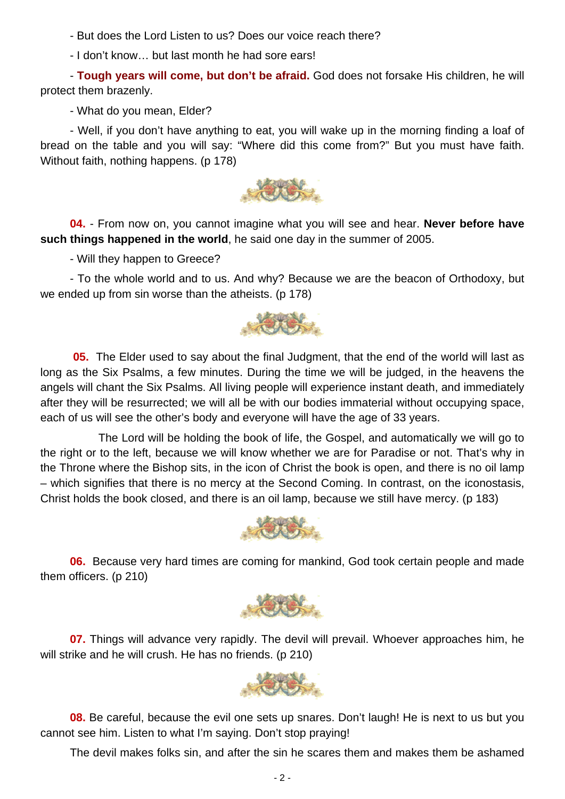- But does the Lord Listen to us? Does our voice reach there?

- I don't know… but last month he had sore ears!

- **Tough years will come, but don't be afraid.** God does not forsake His children, he will protect them brazenly.

- What do you mean, Elder?

- Well, if you don't have anything to eat, you will wake up in the morning finding a loaf of bread on the table and you will say: "Where did this come from?" But you must have faith. Without faith, nothing happens. (p 178)



**04.** - From now on, you cannot imagine what you will see and hear. **Never before have such things happened in the world**, he said one day in the summer of 2005.

- Will they happen to Greece?

- To the whole world and to us. And why? Because we are the beacon of Orthodoxy, but we ended up from sin worse than the atheists. (p 178)



**05.** The Elder used to say about the final Judgment, that the end of the world will last as long as the Six Psalms, a few minutes. During the time we will be judged, in the heavens the angels will chant the Six Psalms. All living people will experience instant death, and immediately after they will be resurrected; we will all be with our bodies immaterial without occupying space, each of us will see the other's body and everyone will have the age of 33 years.

 The Lord will be holding the book of life, the Gospel, and automatically we will go to the right or to the left, because we will know whether we are for Paradise or not. That's why in the Throne where the Bishop sits, in the icon of Christ the book is open, and there is no oil lamp – which signifies that there is no mercy at the Second Coming. In contrast, on the iconostasis, Christ holds the book closed, and there is an oil lamp, because we still have mercy. (p 183)



**06.** Because very hard times are coming for mankind, God took certain people and made them officers. (p 210)



**07.** Things will advance very rapidly. The devil will prevail. Whoever approaches him, he will strike and he will crush. He has no friends. (p 210)



**08.** Be careful, because the evil one sets up snares. Don't laugh! He is next to us but you cannot see him. Listen to what I'm saying. Don't stop praying!

The devil makes folks sin, and after the sin he scares them and makes them be ashamed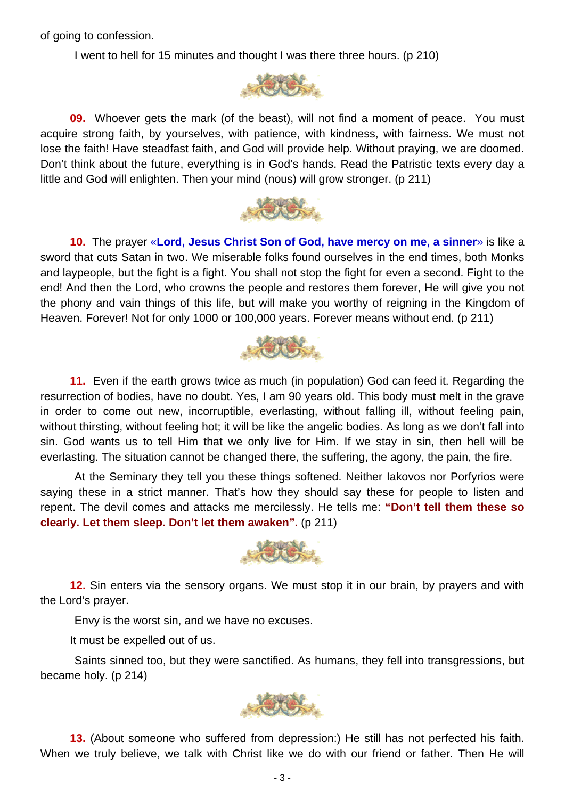of going to confession.

I went to hell for 15 minutes and thought I was there three hours. (p 210)



**09.** Whoever gets the mark (of the beast), will not find a moment of peace. You must acquire strong faith, by yourselves, with patience, with kindness, with fairness. We must not lose the faith! Have steadfast faith, and God will provide help. Without praying, we are doomed. Don't think about the future, everything is in God's hands. Read the Patristic texts every day a little and God will enlighten. Then your mind (nous) will grow stronger. (p 211)



**10.** The prayer «**Lord, Jesus Christ Son of God, have mercy on me, a sinner**» is like a sword that cuts Satan in two. We miserable folks found ourselves in the end times, both Monks and laypeople, but the fight is a fight. You shall not stop the fight for even a second. Fight to the end! And then the Lord, who crowns the people and restores them forever, He will give you not the phony and vain things of this life, but will make you worthy of reigning in the Kingdom of Heaven. Forever! Not for only 1000 or 100,000 years. Forever means without end. (p 211)



**11.** Even if the earth grows twice as much (in population) God can feed it. Regarding the resurrection of bodies, have no doubt. Yes, I am 90 years old. This body must melt in the grave in order to come out new, incorruptible, everlasting, without falling ill, without feeling pain, without thirsting, without feeling hot; it will be like the angelic bodies. As long as we don't fall into sin. God wants us to tell Him that we only live for Him. If we stay in sin, then hell will be everlasting. The situation cannot be changed there, the suffering, the agony, the pain, the fire.

 At the Seminary they tell you these things softened. Neither Iakovos nor Porfyrios were saying these in a strict manner. That's how they should say these for people to listen and repent. The devil comes and attacks me mercilessly. He tells me: **"Don't tell them these so clearly. Let them sleep. Don't let them awaken".** (p 211)



**12.** Sin enters via the sensory organs. We must stop it in our brain, by prayers and with the Lord's prayer.

Envy is the worst sin, and we have no excuses.

It must be expelled out of us.

 Saints sinned too, but they were sanctified. As humans, they fell into transgressions, but became holy. (p 214)



**13.** (About someone who suffered from depression:) He still has not perfected his faith. When we truly believe, we talk with Christ like we do with our friend or father. Then He will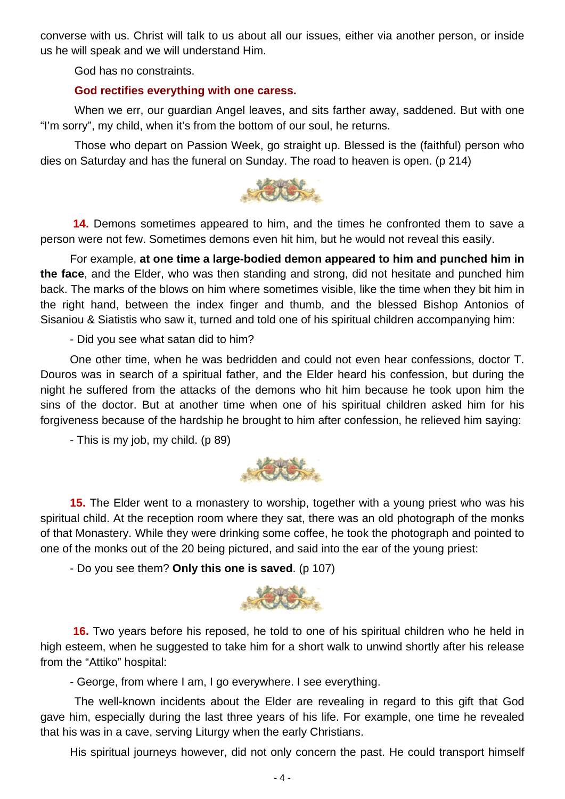converse with us. Christ will talk to us about all our issues, either via another person, or inside us he will speak and we will understand Him.

God has no constraints.

#### **God rectifies everything with one caress.**

 When we err, our guardian Angel leaves, and sits farther away, saddened. But with one "I'm sorry", my child, when it's from the bottom of our soul, he returns.

 Those who depart on Passion Week, go straight up. Blessed is the (faithful) person who dies on Saturday and has the funeral on Sunday. The road to heaven is open. (p 214)



**14.** Demons sometimes appeared to him, and the times he confronted them to save a person were not few. Sometimes demons even hit him, but he would not reveal this easily.

For example, **at one time a large-bodied demon appeared to him and punched him in the face**, and the Elder, who was then standing and strong, did not hesitate and punched him back. The marks of the blows on him where sometimes visible, like the time when they bit him in the right hand, between the index finger and thumb, and the blessed Bishop Antonios of Sisaniou & Siatistis who saw it, turned and told one of his spiritual children accompanying him:

- Did you see what satan did to him?

One other time, when he was bedridden and could not even hear confessions, doctor T. Douros was in search of a spiritual father, and the Elder heard his confession, but during the night he suffered from the attacks of the demons who hit him because he took upon him the sins of the doctor. But at another time when one of his spiritual children asked him for his forgiveness because of the hardship he brought to him after confession, he relieved him saying:

- This is my job, my child. (p 89)



**15.** The Elder went to a monastery to worship, together with a young priest who was his spiritual child. At the reception room where they sat, there was an old photograph of the monks of that Monastery. While they were drinking some coffee, he took the photograph and pointed to one of the monks out of the 20 being pictured, and said into the ear of the young priest:

- Do you see them? **Only this one is saved**. (p 107)



**16.** Two years before his reposed, he told to one of his spiritual children who he held in high esteem, when he suggested to take him for a short walk to unwind shortly after his release from the "Attiko" hospital:

- George, from where I am, I go everywhere. I see everything.

 The well-known incidents about the Elder are revealing in regard to this gift that God gave him, especially during the last three years of his life. For example, one time he revealed that his was in a cave, serving Liturgy when the early Christians.

His spiritual journeys however, did not only concern the past. He could transport himself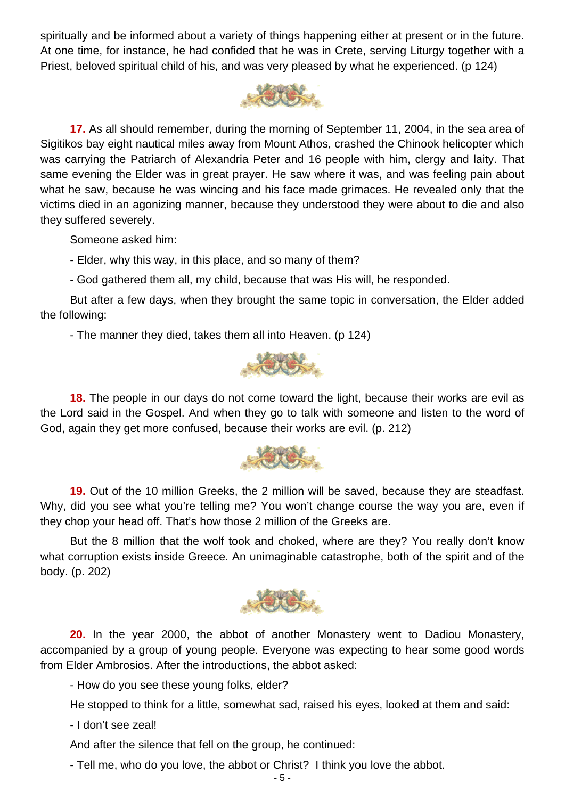spiritually and be informed about a variety of things happening either at present or in the future. At one time, for instance, he had confided that he was in Crete, serving Liturgy together with a Priest, beloved spiritual child of his, and was very pleased by what he experienced. (p 124)



**17.** As all should remember, during the morning of September 11, 2004, in the sea area of Sigitikos bay eight nautical miles away from Mount Athos, crashed the Chinook helicopter which was carrying the Patriarch of Alexandria Peter and 16 people with him, clergy and laity. That same evening the Elder was in great prayer. He saw where it was, and was feeling pain about what he saw, because he was wincing and his face made grimaces. He revealed only that the victims died in an agonizing manner, because they understood they were about to die and also they suffered severely.

Someone asked him:

- Elder, why this way, in this place, and so many of them?

- God gathered them all, my child, because that was His will, he responded.

But after a few days, when they brought the same topic in conversation, the Elder added the following:

- The manner they died, takes them all into Heaven. (p 124)



**18.** The people in our days do not come toward the light, because their works are evil as the Lord said in the Gospel. And when they go to talk with someone and listen to the word of God, again they get more confused, because their works are evil. (p. 212)



**19.** Out of the 10 million Greeks, the 2 million will be saved, because they are steadfast. Why, did you see what you're telling me? You won't change course the way you are, even if they chop your head off. That's how those 2 million of the Greeks are.

But the 8 million that the wolf took and choked, where are they? You really don't know what corruption exists inside Greece. An unimaginable catastrophe, both of the spirit and of the body. (p. 202)



**20.** In the year 2000, the abbot of another Monastery went to Dadiou Monastery, accompanied by a group of young people. Everyone was expecting to hear some good words from Elder Ambrosios. After the introductions, the abbot asked:

- How do you see these young folks, elder?

He stopped to think for a little, somewhat sad, raised his eyes, looked at them and said:

- I don't see zeal!

And after the silence that fell on the group, he continued:

- Tell me, who do you love, the abbot or Christ? I think you love the abbot.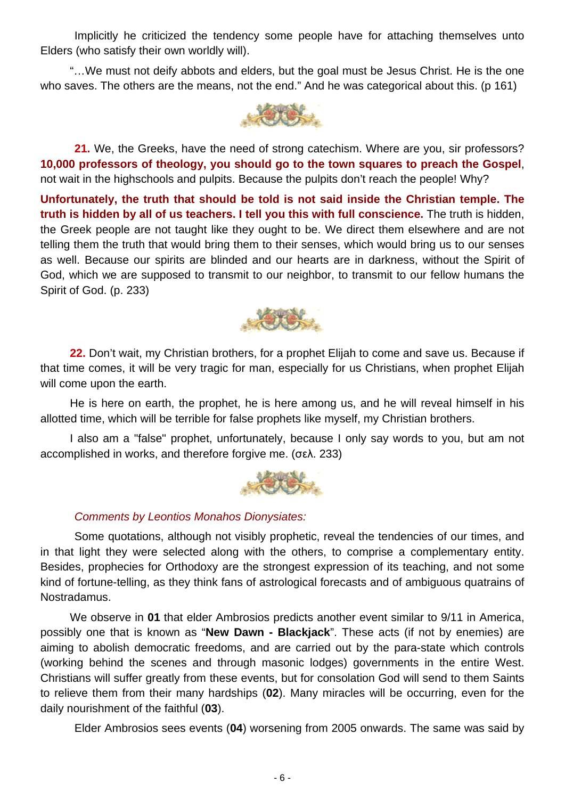Implicitly he criticized the tendency some people have for attaching themselves unto Elders (who satisfy their own worldly will).

"…We must not deify abbots and elders, but the goal must be Jesus Christ. He is the one who saves. The others are the means, not the end." And he was categorical about this. (p 161)



 **21.** We, the Greeks, have the need of strong catechism. Where are you, sir professors? **10,000 professors of theology, you should go to the town squares to preach the Gospel**, not wait in the highschools and pulpits. Because the pulpits don't reach the people! Why?

**Unfortunately, the truth that should be told is not said inside the Christian temple. The truth is hidden by all of us teachers. I tell you this with full conscience.** The truth is hidden, the Greek people are not taught like they ought to be. We direct them elsewhere and are not telling them the truth that would bring them to their senses, which would bring us to our senses as well. Because our spirits are blinded and our hearts are in darkness, without the Spirit of God, which we are supposed to transmit to our neighbor, to transmit to our fellow humans the Spirit of God. (p. 233)



**22.** Don't wait, my Christian brothers, for a prophet Elijah to come and save us. Because if that time comes, it will be very tragic for man, especially for us Christians, when prophet Elijah will come upon the earth.

He is here on earth, the prophet, he is here among us, and he will reveal himself in his allotted time, which will be terrible for false prophets like myself, my Christian brothers.

I also am a "false" prophet, unfortunately, because I only say words to you, but am not accomplished in works, and therefore forgive me. (σελ. 233)



### *Comments by Leontios Monahos Dionysiates:*

 Some quotations, although not visibly prophetic, reveal the tendencies of our times, and in that light they were selected along with the others, to comprise a complementary entity. Besides, prophecies for Orthodoxy are the strongest expression of its teaching, and not some kind of fortune-telling, as they think fans of astrological forecasts and of ambiguous quatrains of Nostradamus.

We observe in **01** that elder Ambrosios predicts another event similar to 9/11 in America, possibly one that is known as "**New Dawn - Blackjack**". These acts (if not by enemies) are aiming to abolish democratic freedoms, and are carried out by the para-state which controls (working behind the scenes and through masonic lodges) governments in the entire West. Christians will suffer greatly from these events, but for consolation God will send to them Saints to relieve them from their many hardships (**02**). Many miracles will be occurring, even for the daily nourishment of the faithful (**03**).

Elder Ambrosios sees events (**04**) worsening from 2005 onwards. The same was said by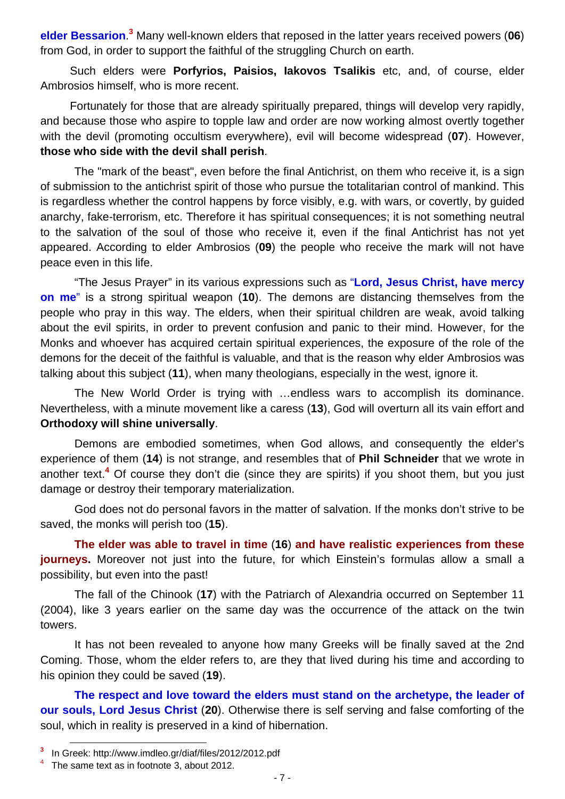**elder Bessarion**. **3** Many well-known elders that reposed in the latter years received powers (**06**) from God, in order to support the faithful of the struggling Church on earth.

Such elders were **Porfyrios, Paisios, Iakovos Tsalikis** etc, and, of course, elder Ambrosios himself, who is more recent.

Fortunately for those that are already spiritually prepared, things will develop very rapidly, and because those who aspire to topple law and order are now working almost overtly together with the devil (promoting occultism everywhere), evil will become widespread (**07**). However, **those who side with the devil shall perish**.

 The "mark of the beast", even before the final Antichrist, on them who receive it, is a sign of submission to the antichrist spirit of those who pursue the totalitarian control of mankind. This is regardless whether the control happens by force visibly, e.g. with wars, or covertly, by guided anarchy, fake-terrorism, etc. Therefore it has spiritual consequences; it is not something neutral to the salvation of the soul of those who receive it, even if the final Antichrist has not yet appeared. According to elder Ambrosios (**09**) the people who receive the mark will not have peace even in this life.

 "The Jesus Prayer" in its various expressions such as "**Lord, Jesus Christ, have mercy on me**" is a strong spiritual weapon (**10**). The demons are distancing themselves from the people who pray in this way. The elders, when their spiritual children are weak, avoid talking about the evil spirits, in order to prevent confusion and panic to their mind. However, for the Monks and whoever has acquired certain spiritual experiences, the exposure of the role of the demons for the deceit of the faithful is valuable, and that is the reason why elder Ambrosios was talking about this subject (**11**), when many theologians, especially in the west, ignore it.

 The New World Order is trying with …endless wars to accomplish its dominance. Nevertheless, with a minute movement like a caress (**13**), God will overturn all its vain effort and **Orthodoxy will shine universally**.

 Demons are embodied sometimes, when God allows, and consequently the elder's experience of them (**14**) is not strange, and resembles that of **Phil Schneider** that we wrote in another text.**<sup>4</sup>** Of course they don't die (since they are spirits) if you shoot them, but you just damage or destroy their temporary materialization.

 God does not do personal favors in the matter of salvation. If the monks don't strive to be saved, the monks will perish too (**15**).

**The elder was able to travel in time** (**16**) **and have realistic experiences from these journeys.** Moreover not just into the future, for which Einstein's formulas allow a small a possibility, but even into the past!

 The fall of the Chinook (**17**) with the Patriarch of Alexandria occurred on September 11 (2004), like 3 years earlier on the same day was the occurrence of the attack on the twin towers.

 It has not been revealed to anyone how many Greeks will be finally saved at the 2nd Coming. Those, whom the elder refers to, are they that lived during his time and according to his opinion they could be saved (**19**).

**The respect and love toward the elders must stand on the archetype, the leader of our souls, Lord Jesus Christ** (**20**). Otherwise there is self serving and false comforting of the soul, which in reality is preserved in a kind of hibernation.

**<sup>3</sup>** In Greek: http://www.imdleo.gr/diaf/files/2012/2012.pdf

<sup>&</sup>lt;sup>4</sup> The same text as in footnote 3, about 2012.